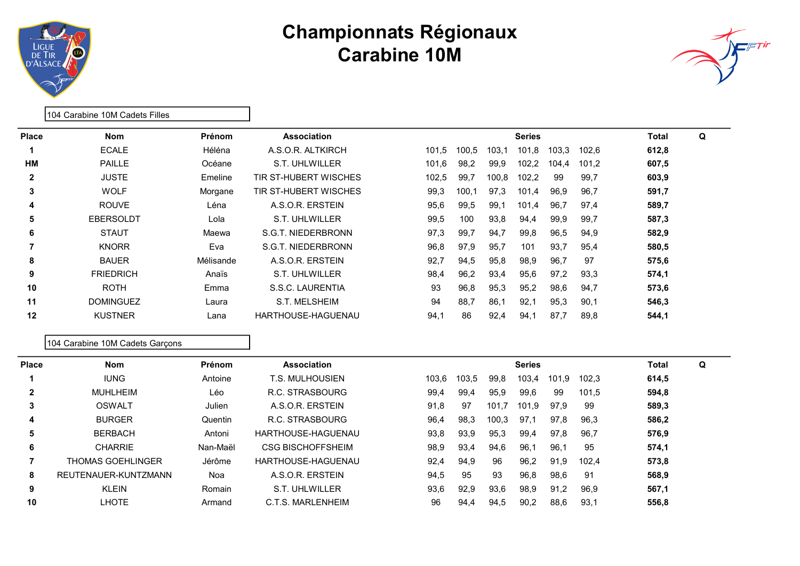



| <b>Place</b> | <b>Nom</b>       | <b>Prénom</b> | <b>Association</b>    |       |       |       | <b>Series</b> |       |       | Total | Q |
|--------------|------------------|---------------|-----------------------|-------|-------|-------|---------------|-------|-------|-------|---|
|              | <b>ECALE</b>     | Héléna        | A.S.O.R. ALTKIRCH     | 101.5 | 100,5 | 103,1 | 101,8         | 103.3 | 102,6 | 612,8 |   |
| HМ           | <b>PAILLE</b>    | Océane        | S.T. UHLWILLER        | 101,6 | 98,2  | 99,9  | 102.2         | 104.4 | 101.2 | 607,5 |   |
| $\mathbf{2}$ | <b>JUSTE</b>     | Emeline       | TIR ST-HUBERT WISCHES | 102,5 | 99,7  | 100,8 | 102,2         | 99    | 99,7  | 603,9 |   |
| 3            | <b>WOLF</b>      | Morgane       | TIR ST-HUBERT WISCHES | 99,3  | 100,1 | 97,3  | 101,4         | 96,9  | 96,7  | 591,7 |   |
| 4            | <b>ROUVE</b>     | Léna          | A.S.O.R. ERSTEIN      | 95,6  | 99,5  | 99.1  | 101,4         | 96,7  | 97,4  | 589,7 |   |
| 5            | <b>EBERSOLDT</b> | Lola          | S.T. UHLWILLER        | 99,5  | 100   | 93,8  | 94.4          | 99,9  | 99,7  | 587,3 |   |
| 6            | <b>STAUT</b>     | Maewa         | S.G.T. NIEDERBRONN    | 97,3  | 99,7  | 94,7  | 99,8          | 96,5  | 94,9  | 582,9 |   |
|              | <b>KNORR</b>     | Eva           | S.G.T. NIEDERBRONN    | 96,8  | 97,9  | 95,7  | 101           | 93,7  | 95,4  | 580,5 |   |
| 8            | <b>BAUER</b>     | Mélisande     | A.S.O.R. ERSTEIN      | 92,7  | 94,5  | 95,8  | 98.9          | 96,7  | 97    | 575,6 |   |
| 9            | <b>FRIEDRICH</b> | Anaïs         | S.T. UHLWILLER        | 98,4  | 96,2  | 93,4  | 95,6          | 97,2  | 93,3  | 574,1 |   |
| 10           | <b>ROTH</b>      | Emma          | S.S.C. LAURENTIA      | 93    | 96,8  | 95,3  | 95.2          | 98,6  | 94,7  | 573,6 |   |
| 11           | <b>DOMINGUEZ</b> | Laura         | S.T. MELSHEIM         | 94    | 88,7  | 86,1  | 92,1          | 95,3  | 90,1  | 546,3 |   |
| 12           | <b>KUSTNER</b>   | Lana          | HARTHOUSE-HAGUENAU    | 94,1  | 86    | 92,4  | 94,1          | 87,7  | 89,8  | 544,1 |   |

#### 104 Carabine 10M Cadets Garçons

104 Carabine 10M Cadets Filles

| <b>Place</b>   | <b>Nom</b>               | Prénom   | Association              |       |       |       | <b>Series</b> |            |       | Total | Q |  |
|----------------|--------------------------|----------|--------------------------|-------|-------|-------|---------------|------------|-------|-------|---|--|
|                | <b>IUNG</b>              | Antoine  | T.S. MULHOUSIEN          | 103,6 | 103,5 | 99,8  | 103,4         | 101<br>∣.9 | 102.3 | 614,5 |   |  |
| $\overline{2}$ | <b>MUHLHEIM</b>          | Léo      | R.C. STRASBOURG          | 99,4  | 99,4  | 95,9  | 99,6          | 99         | 101,5 | 594,8 |   |  |
| 3              | OSWALT                   | Julien   | A.S.O.R. ERSTEIN         | 91,8  | 97    | 101.7 | 101,9         | 97,9       | -99   | 589,3 |   |  |
| 4              | <b>BURGER</b>            | Quentin  | R.C. STRASBOURG          | 96,4  | 98,3  | 100,3 | 97,1          | 97.8       | 96,3  | 586,2 |   |  |
| 5              | <b>BERBACH</b>           | Antoni   | HARTHOUSE-HAGUENAU       | 93,8  | 93,9  | 95,3  | 99,4          | 97,8       | 96,7  | 576,9 |   |  |
| 6              | <b>CHARRIE</b>           | Nan-Maël | <b>CSG BISCHOFFSHEIM</b> | 98,9  | 93,4  | 94,6  | 96,1          | 96,1       | 95    | 574,1 |   |  |
|                | <b>THOMAS GOEHLINGER</b> | Jérôme   | HARTHOUSE-HAGUENAU       | 92,4  | 94,9  | 96    | 96,2          | 91,9       | 102,4 | 573,8 |   |  |
| 8              | REUTENAUER-KUNTZMANN     | Noa      | A S.O.R. FRSTFIN         | 94,5  | 95    | 93    | 96,8          | 98,6       | 91    | 568,9 |   |  |
| 9              | <b>KLEIN</b>             | Romain   | S.T. UHLWILLER           | 93,6  | 92,9  | 93,6  | 98,9          | 91,2       | 96,9  | 567,1 |   |  |
| 10             | <b>LHOTE</b>             | Armand   | C.T.S. MARI FNHFIM       | 96    | 94,4  | 94,5  | 90,2          | 88,6       | 93,1  | 556,8 |   |  |
|                |                          |          |                          |       |       |       |               |            |       |       |   |  |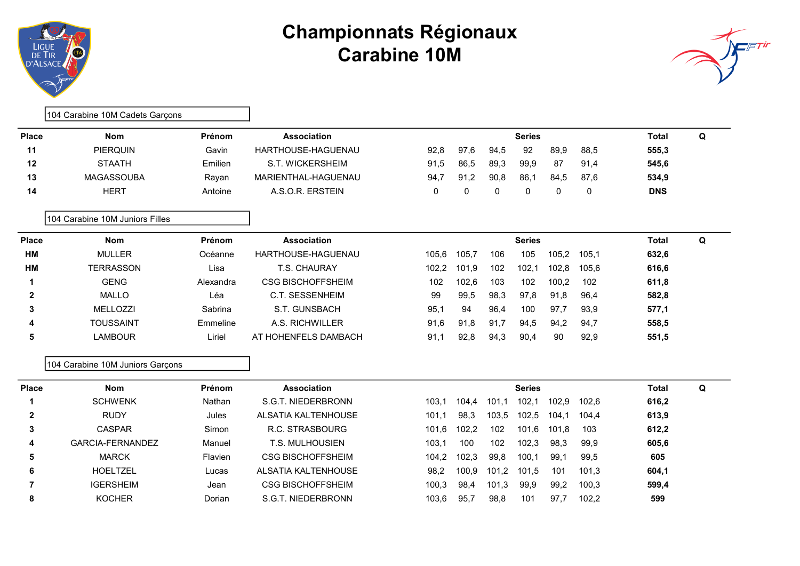



|              | 104 Carabine 10M Cadets Garçons  |           |                            |       |       |          |               |       |       |              |   |
|--------------|----------------------------------|-----------|----------------------------|-------|-------|----------|---------------|-------|-------|--------------|---|
| <b>Place</b> | <b>Nom</b>                       | Prénom    | <b>Association</b>         |       |       |          | <b>Series</b> |       |       | <b>Total</b> | Q |
| 11           | <b>PIERQUIN</b>                  | Gavin     | HARTHOUSE-HAGUENAU         | 92.8  | 97,6  | 94,5     | 92            | 89,9  | 88,5  | 555,3        |   |
| 12           | <b>STAATH</b>                    | Emilien   | S.T. WICKERSHEIM           | 91,5  | 86,5  | 89,3     | 99,9          | 87    | 91,4  | 545,6        |   |
| 13           | <b>MAGASSOUBA</b>                | Rayan     | MARIENTHAL-HAGUENAU        | 94,7  | 91,2  | 90.8     | 86,1          | 84,5  | 87,6  | 534,9        |   |
| 14           | <b>HERT</b>                      | Antoine   | A.S.O.R. ERSTEIN           | 0     | 0     | $\Omega$ | 0             | 0     | 0     | <b>DNS</b>   |   |
|              | 104 Carabine 10M Juniors Filles  |           |                            |       |       |          |               |       |       |              |   |
| <b>Place</b> | <b>Nom</b>                       | Prénom    | <b>Association</b>         |       |       |          | <b>Series</b> |       |       | <b>Total</b> | Q |
| <b>HM</b>    | <b>MULLER</b>                    | Océanne   | HARTHOUSE-HAGUENAU         | 105.6 | 105.7 | 106      | 105           | 105,2 | 105,1 | 632,6        |   |
| <b>HM</b>    | <b>TERRASSON</b>                 | Lisa      | T.S. CHAURAY               | 102,2 | 101.9 | 102      | 102,1         | 102,8 | 105,6 | 616,6        |   |
| 1            | <b>GENG</b>                      | Alexandra | <b>CSG BISCHOFFSHEIM</b>   | 102   | 102,6 | 103      | 102           | 100,2 | 102   | 611,8        |   |
| $\mathbf{2}$ | <b>MALLO</b>                     | Léa       | <b>C.T. SESSENHEIM</b>     | 99    | 99,5  | 98,3     | 97,8          | 91,8  | 96,4  | 582,8        |   |
| 3            | MELLOZZI                         | Sabrina   | S.T. GUNSBACH              | 95,1  | 94    | 96,4     | 100           | 97.7  | 93,9  | 577,1        |   |
| 4            | <b>TOUSSAINT</b>                 | Emmeline  | A.S. RICHWILLER            | 91,6  | 91,8  | 91,7     | 94,5          | 94,2  | 94,7  | 558,5        |   |
| 5            | <b>LAMBOUR</b>                   | Liriel    | AT HOHENFELS DAMBACH       | 91,1  | 92,8  | 94,3     | 90,4          | 90    | 92,9  | 551,5        |   |
|              | 104 Carabine 10M Juniors Garçons |           |                            |       |       |          |               |       |       |              |   |
| <b>Place</b> | <b>Nom</b>                       | Prénom    | <b>Association</b>         |       |       |          | <b>Series</b> |       |       | <b>Total</b> | Q |
|              | <b>SCHWENK</b>                   | Nathan    | S.G.T. NIEDERBRONN         | 103,1 | 104,4 | 101,1    | 102,1         | 102,9 | 102,6 | 616,2        |   |
| $\mathbf{2}$ | <b>RUDY</b>                      | Jules     | <b>ALSATIA KALTENHOUSE</b> | 101,1 | 98,3  | 103,5    | 102,5         | 104.1 | 104,4 | 613,9        |   |
| 3            | <b>CASPAR</b>                    | Simon     | R.C. STRASBOURG            | 101,6 | 102,2 | 102      | 101,6         | 101.8 | 103   | 612,2        |   |
| 4            | <b>GARCIA-FERNANDEZ</b>          | Manuel    | <b>T.S. MULHOUSIEN</b>     | 103,1 | 100   | 102      | 102,3         | 98,3  | 99,9  | 605,6        |   |

5 MARCK Flavien CSG BISCHOFFSHEIM 104,2 102,3 99,8 100,1 99,1 99,5 605 6 HOELTZEL Lucas ALSATIA KALTENHOUSE 98,2 100,9 101,2 101,5 101 101,3 604,1 7 16ERSHEIM Jean CSG BISCHOFFSHEIM 100,3 98,4 101,3 99,9 99,2 100,3 599,4 8 6 KOCHER Dorian S.G.T. NIEDERBRONN 103,6 95,7 98,8 101 97,7 102,2 599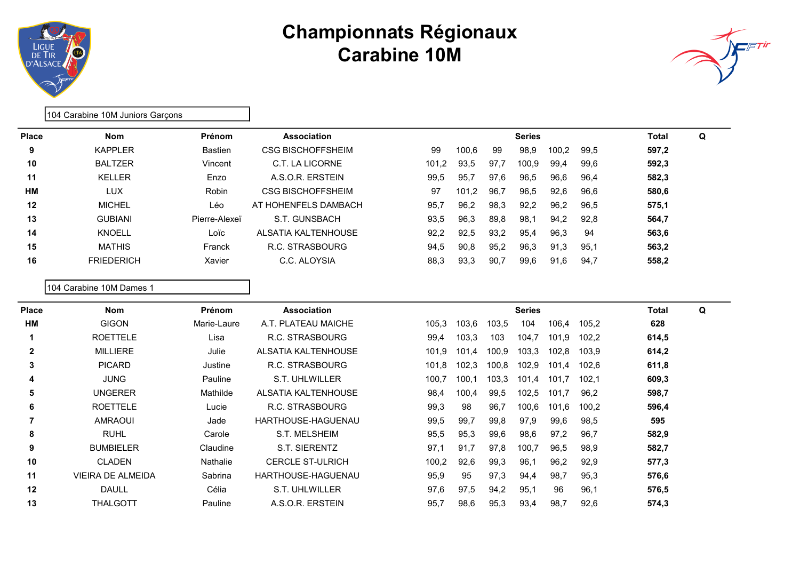



Place Nom Nom Prénom Association Number of Series Series Total Q 9 100,6 99 98,9 100,2 99,5 597,2 10 BALTZER Vincent C.T. LA LICORNE 101,2 93,5 97,7 100,9 99,4 99,6 592,3 11 KELLER Enzo A.S.O.R. ERSTEIN 99,5 95,7 97,6 96,5 96,6 96,4 582,3 HM CON LUX Robin CSG BISCHOFFSHEIM 97 101,2 96,7 96,5 92,6 96,6 580,6 12 MICHEL Léo AT HOHENFELS DAMBACH 95,7 96,2 98,3 92,2 96,2 96,5 575,1 13 GUBIANI Pierre-Alexeï S.T. GUNSBACH 93,5 96,3 89,8 98,1 94,2 92,8 564,7 14 KNOELL Loïc ALSATIA KALTENHOUSE 92,2 92,5 93,2 95,4 96,3 94 563,6 15 MATHIS Franck R.C. STRASBOURG 94,5 90,8 95,2 96,3 91,3 95,1 563,2 16 FRIEDERICH Xavier C.C. ALOYSIA 88,3 93,3 90,7 99,6 91,6 94,7 558,2

104 Carabine 10M Dames 1

104 Carabine 10M Juniors Garçons

| Place        | <b>Nom</b>               | Prénom      | <b>Association</b>      |       |       |       | <b>Series</b> |       |       | Total | Q |  |
|--------------|--------------------------|-------------|-------------------------|-------|-------|-------|---------------|-------|-------|-------|---|--|
| HМ           | <b>GIGON</b>             | Marie-Laure | A.T. PLATEAU MAICHE     | 105,3 | 103,6 | 103,5 | 104           | 106,4 | 105,2 | 628   |   |  |
|              | <b>ROETTELE</b>          | Lisa        | R.C. STRASBOURG         | 99,4  | 103.3 | 103   | 104,7         | 101,9 | 102,2 | 614,5 |   |  |
| $\mathbf{2}$ | <b>MILLIERE</b>          | Julie       | ALSATIA KALTENHOUSE     | 101,9 | 101,4 | 100,9 | 103,3         | 102,8 | 103,9 | 614,2 |   |  |
| 3            | <b>PICARD</b>            | Justine     | R.C. STRASBOURG         | 101,8 | 102,3 | 100,8 | 102,9         | 101,4 | 102,6 | 611,8 |   |  |
| 4            | <b>JUNG</b>              | Pauline     | S.T. UHLWILLER          | 100,7 | 100,1 | 103,3 | 101,4         | 101,7 | 102.1 | 609,3 |   |  |
| 5            | <b>UNGERER</b>           | Mathilde    | ALSATIA KALTENHOUSE     | 98,4  | 100,4 | 99,5  | 102,5         | 101,7 | 96,2  | 598,7 |   |  |
| 6            | <b>ROETTELE</b>          | Lucie       | R.C. STRASBOURG         | 99,3  | 98    | 96,7  | 100,6         | 101,6 | 100,2 | 596,4 |   |  |
|              | <b>AMRAOUI</b>           | Jade        | HARTHOUSE-HAGUENAU      | 99,5  | 99,7  | 99,8  | 97,9          | 99,6  | 98,5  | 595   |   |  |
| 8            | <b>RUHL</b>              | Carole      | S.T. MELSHEIM           | 95,5  | 95,3  | 99,6  | 98,6          | 97.2  | 96.7  | 582,9 |   |  |
| 9            | <b>BUMBIELER</b>         | Claudine    | S.T. SIERENTZ           | 97,1  | 91,7  | 97,8  | 100,7         | 96,5  | 98,9  | 582,7 |   |  |
| 10           | <b>CLADEN</b>            | Nathalie    | <b>CERCLE ST-ULRICH</b> | 100,2 | 92,6  | 99,3  | 96,1          | 96,2  | 92,9  | 577,3 |   |  |
| 11           | <b>VIEIRA DE ALMEIDA</b> | Sabrina     | HARTHOUSE-HAGUENAU      | 95,9  | 95    | 97,3  | 94,4          | 98,7  | 95,3  | 576,6 |   |  |
| 12           | <b>DAULL</b>             | Célia       | S.T. UHLWILLER          | 97,6  | 97,5  | 94,2  | 95,1          | 96    | 96,1  | 576,5 |   |  |
| 13           | THALGOTT                 | Pauline     | A.S.O.R. ERSTEIN        | 95,7  | 98,6  | 95,3  | 93,4          | 98,7  | 92,6  | 574,3 |   |  |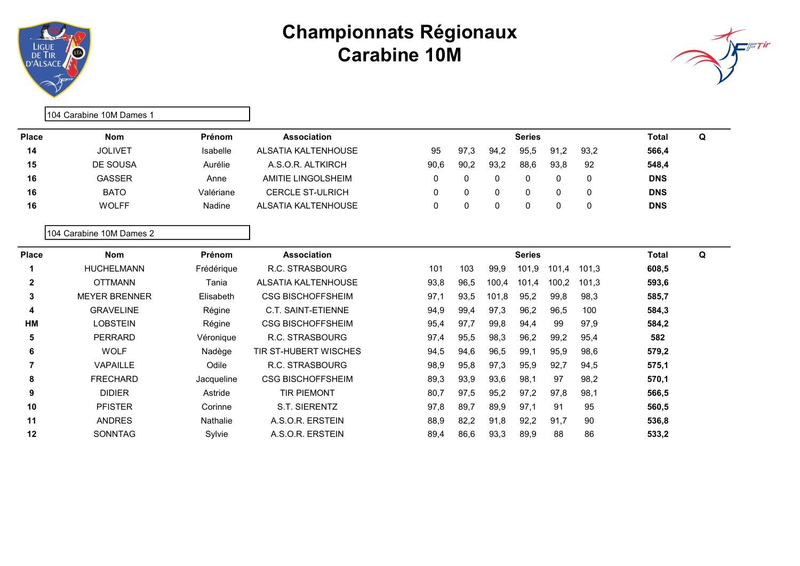



|                | 104 Carabine 10M Dames 1 |            |                              |      |      |       |               |       |             |              |   |
|----------------|--------------------------|------------|------------------------------|------|------|-------|---------------|-------|-------------|--------------|---|
| <b>Place</b>   | <b>Nom</b>               | Prénom     | <b>Association</b>           |      |      |       | <b>Series</b> |       |             | <b>Total</b> | Q |
| 14             | <b>JOLIVET</b>           | Isabelle   | <b>ALSATIA KALTENHOUSE</b>   | 95   | 97,3 | 94,2  | 95,5          | 91,2  | 93,2        | 566,4        |   |
| 15             | <b>DE SOUSA</b>          | Aurélie    | A.S.O.R. ALTKIRCH            | 90,6 | 90,2 | 93,2  | 88,6          | 93,8  | 92          | 548,4        |   |
| 16             | <b>GASSER</b>            | Anne       | AMITIE LINGOLSHEIM           | 0    | 0    | 0     | 0             | 0     | 0           | <b>DNS</b>   |   |
| 16             | <b>BATO</b>              | Valériane  | <b>CERCLE ST-ULRICH</b>      | 0    | 0    | 0     | 0             | 0     | $\mathbf 0$ | <b>DNS</b>   |   |
| 16             | <b>WOLFF</b>             | Nadine     | ALSATIA KALTENHOUSE          | 0    | 0    | 0     | 0             | 0     | 0           | <b>DNS</b>   |   |
|                | 104 Carabine 10M Dames 2 |            |                              |      |      |       |               |       |             |              |   |
| <b>Place</b>   | <b>Nom</b>               | Prénom     | <b>Association</b>           |      |      |       | <b>Series</b> |       |             | <b>Total</b> | Q |
| 1              | <b>HUCHELMANN</b>        | Frédérique | R.C. STRASBOURG              | 101  | 103  | 99,9  | 101,9         | 101,4 | 101,3       | 608,5        |   |
| 2              | <b>OTTMANN</b>           | Tania      | <b>ALSATIA KALTENHOUSE</b>   | 93,8 | 96,5 | 100.4 | 101,4         | 100,2 | 101,3       | 593,6        |   |
| 3              | <b>MEYER BRENNER</b>     | Elisabeth  | <b>CSG BISCHOFFSHEIM</b>     | 97,1 | 93,5 | 101,8 | 95,2          | 99,8  | 98,3        | 585,7        |   |
| 4              | <b>GRAVELINE</b>         | Régine     | C.T. SAINT-ETIENNE           | 94,9 | 99,4 | 97,3  | 96,2          | 96,5  | 100         | 584,3        |   |
| HM             | <b>LOBSTEIN</b>          | Régine     | <b>CSG BISCHOFFSHEIM</b>     | 95,4 | 97,7 | 99,8  | 94,4          | 99    | 97,9        | 584,2        |   |
| 5              | PERRARD                  | Véronique  | R.C. STRASBOURG              | 97,4 | 95,5 | 98,3  | 96,2          | 99,2  | 95,4        | 582          |   |
| 6              | <b>WOLF</b>              | Nadège     | <b>TIR ST-HUBERT WISCHES</b> | 94,5 | 94,6 | 96,5  | 99,1          | 95,9  | 98,6        | 579,2        |   |
| $\overline{7}$ | VAPAILLE                 | Odile      | R.C. STRASBOURG              | 98,9 | 95,8 | 97,3  | 95,9          | 92,7  | 94,5        | 575,1        |   |
| 8              | <b>FRECHARD</b>          | Jacqueline | <b>CSG BISCHOFFSHEIM</b>     | 89,3 | 93,9 | 93,6  | 98,1          | 97    | 98,2        | 570,1        |   |
| 9              | <b>DIDIER</b>            | Astride    | <b>TIR PIEMONT</b>           | 80,7 | 97,5 | 95,2  | 97,2          | 97,8  | 98,1        | 566,5        |   |
| 10             | <b>PFISTER</b>           | Corinne    | S.T. SIERENTZ                | 97,8 | 89,7 | 89,9  | 97,1          | 91    | 95          | 560,5        |   |
| 11             | <b>ANDRES</b>            | Nathalie   | A.S.O.R. ERSTEIN             | 88,9 | 82,2 | 91,8  | 92,2          | 91,7  | 90          | 536,8        |   |
| 12             | <b>SONNTAG</b>           | Sylvie     | A.S.O.R. ERSTEIN             | 89,4 | 86.6 | 93,3  | 89,9          | 88    | 86          | 533,2        |   |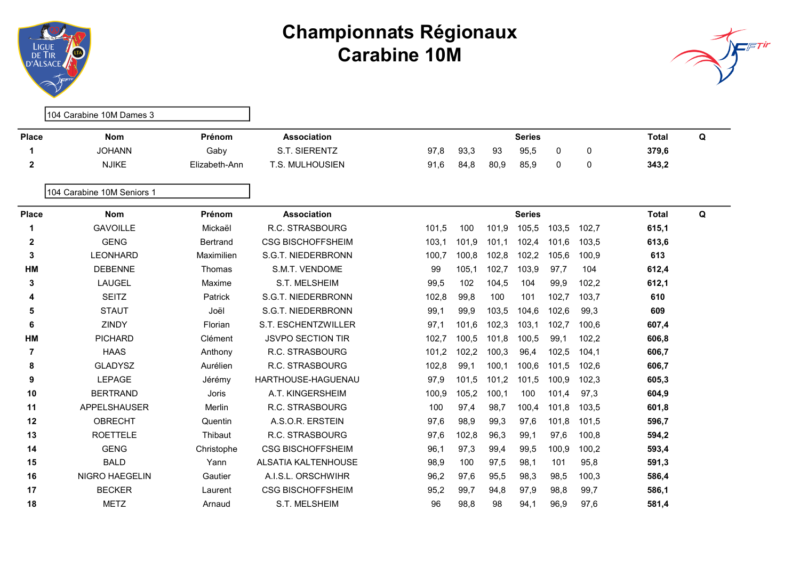



104 Carabine 10M Dames 3 Place Nom Nom Prénom Association Number of Series Series Total Q 1 JOHANN Gaby S.T. SIERENTZ 97,8 93,3 93 95,5 0 0 379,6 2 NJIKE Elizabeth-Ann T.S. MULHOUSIEN 91,6 84,8 80,9 85,9 0 0 343,2 104 Carabine 10M Seniors 1 Place Nom Nom Prénom Association Number of Series Series Total Q 1 GAVOILLE Mickaël R.C. STRASBOURG 101,5 100 101,9 105,5 103,5 102,7 615,1 2 GENG Bertrand CSG BISCHOFFSHEIM 103,1 101,9 101,1 102,4 101,6 103,5 613,6 3 LEONHARD Maximilien S.G.T. NIEDERBRONN 100,7 100,8 102,8 102,2 105,6 100,9 613 **HM** DEBENNE Thomas S.M.T. VENDOME 99 105,1 102,7 103,9 97,7 104 612,4 3 LAUGEL Maxime S.T. MELSHEIM 99,5 102 104,5 104 99,9 102,2 612,1 4 SEITZ Patrick S.G.T. NIEDERBRONN 102,8 99,8 100 101 102,7 103,7 610 5 STAUT Joël S.G.T. NIEDERBRONN 99,1 99,9 103,5 104,6 102,6 99,3 609 6 ZINDY Florian S.T. ESCHENTZWILLER 97,1 101,6 102,3 103,1 102,7 100,6 607,4 HM PICHARD Clément JSVPO SECTION TIR 102,7 100,5 101,8 100,5 99,1 102,2 606,8 7 101,2 102,2 100,3 96,4 102,5 104,1 606,7 8 GLADYSZ Aurélien R.C. STRASBOURG 102,8 99,1 100,1 100,6 101,5 102,6 606,7 9 LEPAGE Jérémy HARTHOUSE-HAGUENAU 97,9 101,5 101,2 101,5 100,9 102,3 605,3 10 BERTRAND Joris A.T. KINGERSHEIM 100,9 105,2 100,1 100 101,4 97,3 604,9 11 APPELSHAUSER Merlin R.C. STRASBOURG 100 97,4 98,7 100,4 101,8 103,5 601,8 12 OBRECHT Quentin A.S.O.R. ERSTEIN 97,6 98,9 99,3 97,6 101,8 101,5 596,7 13 ROETTELE Thibaut R.C. STRASBOURG 97,6 102,8 96,3 99,1 97,6 100,8 594,2 14 GENG Christophe CSG BISCHOFFSHEIM 96.1 97.3 99.4 99.5 100.9 100.2 593.4 15 BALD Yann ALSATIA KALTENHOUSE 98,9 100 97,5 98,1 101 95,8 591,3 16 NIGRO HAEGELIN Gautier A.I.S.L. ORSCHWIHR 96,2 97,6 95,5 98,3 98,5 100,3 586,4 17 BECKER Laurent CSG BISCHOFFSHEIM 95,2 99,7 94,8 97,9 98,8 99,7 586,1 18 METZ Arnaud S.T. MELSHEIM 96 98,8 98 94,1 96,9 97,6 581,4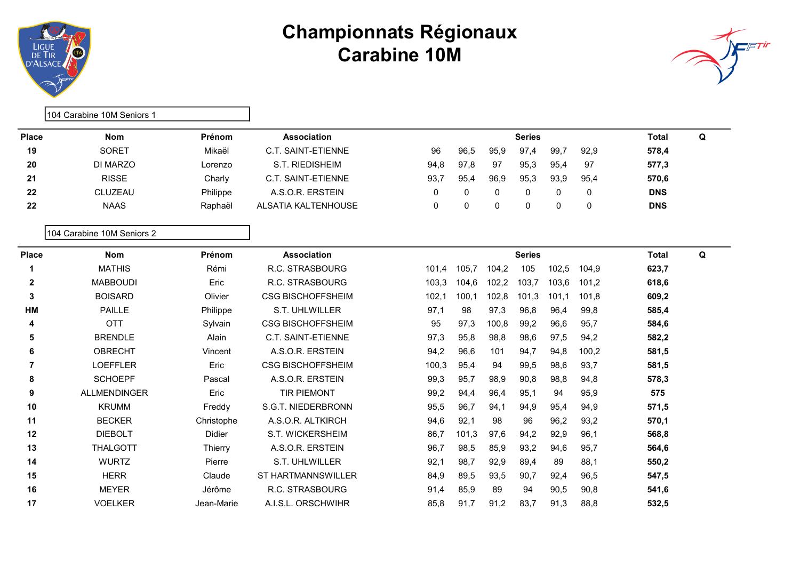



|                | 104 Carabine 10M Seniors 1 |            |                           |       |       |              |               |       |          |              |   |
|----------------|----------------------------|------------|---------------------------|-------|-------|--------------|---------------|-------|----------|--------------|---|
| <b>Place</b>   | <b>Nom</b>                 | Prénom     | <b>Association</b>        |       |       |              | <b>Series</b> |       |          | <b>Total</b> | Q |
| 19             | <b>SORET</b>               | Mikaël     | <b>C.T. SAINT-ETIENNE</b> | 96    | 96,5  | 95,9         | 97,4          | 99,7  | 92,9     | 578,4        |   |
| 20             | DI MARZO                   | Lorenzo    | S.T. RIEDISHEIM           | 94,8  | 97,8  | 97           | 95,3          | 95,4  | 97       | 577,3        |   |
| 21             | <b>RISSE</b>               | Charly     | C.T. SAINT-ETIENNE        | 93,7  | 95,4  | 96,9         | 95,3          | 93,9  | 95,4     | 570,6        |   |
| 22             | CLUZEAU                    | Philippe   | A.S.O.R. ERSTEIN          | 0     | 0     | 0            | 0             | 0     | 0        | <b>DNS</b>   |   |
| 22             | <b>NAAS</b>                | Raphaël    | ALSATIA KALTENHOUSE       | 0     | 0     | $\mathbf{0}$ | 0             | 0     | $\Omega$ | <b>DNS</b>   |   |
|                | 104 Carabine 10M Seniors 2 |            |                           |       |       |              |               |       |          |              |   |
| <b>Place</b>   | <b>Nom</b>                 | Prénom     | <b>Association</b>        |       |       |              | <b>Series</b> |       |          | <b>Total</b> | Q |
| 1              | <b>MATHIS</b>              | Rémi       | R.C. STRASBOURG           | 101.4 | 105,7 | 104,2        | 105           | 102,5 | 104,9    | 623,7        |   |
| $\mathbf{2}$   | <b>MABBOUDI</b>            | Eric       | R.C. STRASBOURG           | 103,3 | 104,6 | 102,2        | 103,7         | 103,6 | 101,2    | 618,6        |   |
| 3              | <b>BOISARD</b>             | Olivier    | <b>CSG BISCHOFFSHEIM</b>  | 102,1 | 100,1 | 102,8        | 101,3         | 101,1 | 101,8    | 609,2        |   |
| HM             | <b>PAILLE</b>              | Philippe   | S.T. UHLWILLER            | 97,1  | 98    | 97,3         | 96,8          | 96,4  | 99,8     | 585,4        |   |
| 4              | <b>OTT</b>                 | Sylvain    | <b>CSG BISCHOFFSHEIM</b>  | 95    | 97,3  | 100,8        | 99,2          | 96,6  | 95,7     | 584,6        |   |
| 5              | <b>BRENDLE</b>             | Alain      | C.T. SAINT-ETIENNE        | 97,3  | 95,8  | 98,8         | 98,6          | 97,5  | 94,2     | 582,2        |   |
| 6              | <b>OBRECHT</b>             | Vincent    | A.S.O.R. ERSTEIN          | 94,2  | 96,6  | 101          | 94,7          | 94,8  | 100,2    | 581,5        |   |
| $\overline{7}$ | <b>LOEFFLER</b>            | Eric       | <b>CSG BISCHOFFSHEIM</b>  | 100,3 | 95,4  | 94           | 99,5          | 98,6  | 93,7     | 581,5        |   |
| 8              | <b>SCHOEPF</b>             | Pascal     | A.S.O.R. ERSTEIN          | 99,3  | 95,7  | 98,9         | 90,8          | 98,8  | 94,8     | 578,3        |   |
| 9              | ALLMENDINGER               | Eric       | <b>TIR PIEMONT</b>        | 99,2  | 94,4  | 96,4         | 95,1          | 94    | 95,9     | 575          |   |
| 10             | <b>KRUMM</b>               | Freddy     | S.G.T. NIEDERBRONN        | 95,5  | 96,7  | 94,1         | 94,9          | 95,4  | 94,9     | 571,5        |   |
| 11             | <b>BECKER</b>              | Christophe | A.S.O.R. ALTKIRCH         | 94,6  | 92,1  | 98           | 96            | 96,2  | 93,2     | 570,1        |   |
| 12             | <b>DIEBOLT</b>             | Didier     | S.T. WICKERSHEIM          | 86,7  | 101,3 | 97,6         | 94,2          | 92,9  | 96,1     | 568,8        |   |
| 13             | <b>THALGOTT</b>            | Thierry    | A.S.O.R. ERSTEIN          | 96,7  | 98,5  | 85,9         | 93,2          | 94,6  | 95,7     | 564,6        |   |
| 14             | <b>WURTZ</b>               | Pierre     | S.T. UHLWILLER            | 92,1  | 98,7  | 92,9         | 89,4          | 89    | 88,1     | 550,2        |   |
| 15             | <b>HERR</b>                | Claude     | <b>ST HARTMANNSWILLER</b> | 84,9  | 89,5  | 93,5         | 90,7          | 92,4  | 96,5     | 547,5        |   |
| 16             | <b>MEYER</b>               | Jérôme     | R.C. STRASBOURG           | 91,4  | 85,9  | 89           | 94            | 90,5  | 90,8     | 541,6        |   |
| 17             | <b>VOELKER</b>             | Jean-Marie | A.I.S.L. ORSCHWIHR        | 85,8  | 91.7  | 91,2         | 83.7          | 91,3  | 88,8     | 532,5        |   |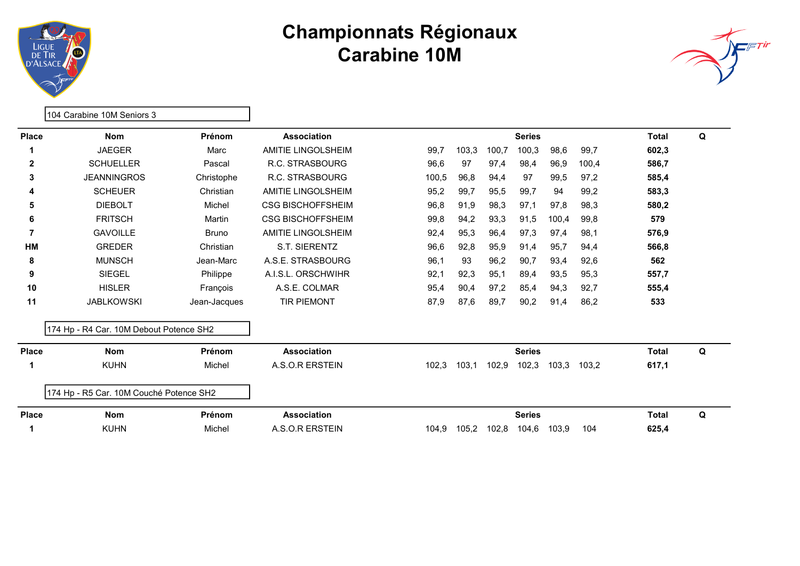



|              | 104 Carabine 10M Seniors 3              |              |                           |       |       |       |               |       |       |              |   |
|--------------|-----------------------------------------|--------------|---------------------------|-------|-------|-------|---------------|-------|-------|--------------|---|
| <b>Place</b> | <b>Nom</b>                              | Prénom       | <b>Association</b>        |       |       |       | <b>Series</b> |       |       | <b>Total</b> | Q |
|              | <b>JAEGER</b>                           | Marc         | <b>AMITIE LINGOLSHEIM</b> | 99,7  | 103,3 | 100,7 | 100,3         | 98,6  | 99,7  | 602,3        |   |
| $\mathbf{2}$ | <b>SCHUELLER</b>                        | Pascal       | R.C. STRASBOURG           | 96,6  | 97    | 97,4  | 98,4          | 96,9  | 100,4 | 586,7        |   |
| 3            | <b>JEANNINGROS</b>                      | Christophe   | R.C. STRASBOURG           | 100,5 | 96,8  | 94,4  | 97            | 99,5  | 97,2  | 585,4        |   |
| 4            | <b>SCHEUER</b>                          | Christian    | <b>AMITIE LINGOLSHEIM</b> | 95,2  | 99,7  | 95,5  | 99,7          | 94    | 99,2  | 583,3        |   |
| 5            | <b>DIEBOLT</b>                          | Michel       | <b>CSG BISCHOFFSHEIM</b>  | 96,8  | 91,9  | 98,3  | 97,1          | 97,8  | 98,3  | 580,2        |   |
| 6            | <b>FRITSCH</b>                          | Martin       | <b>CSG BISCHOFFSHEIM</b>  | 99,8  | 94,2  | 93,3  | 91,5          | 100,4 | 99,8  | 579          |   |
| 7            | <b>GAVOILLE</b>                         | <b>Bruno</b> | <b>AMITIE LINGOLSHEIM</b> | 92,4  | 95,3  | 96,4  | 97,3          | 97,4  | 98.1  | 576,9        |   |
| HM           | <b>GREDER</b>                           | Christian    | <b>S.T. SIERENTZ</b>      | 96,6  | 92,8  | 95,9  | 91,4          | 95,7  | 94,4  | 566,8        |   |
| 8            | <b>MUNSCH</b>                           | Jean-Marc    | A.S.E. STRASBOURG         | 96,1  | 93    | 96.2  | 90.7          | 93,4  | 92,6  | 562          |   |
| 9            | <b>SIEGEL</b>                           | Philippe     | A.I.S.L. ORSCHWIHR        | 92,1  | 92,3  | 95,1  | 89,4          | 93,5  | 95,3  | 557,7        |   |
| 10           | <b>HISLER</b>                           | François     | A.S.E. COLMAR             | 95,4  | 90,4  | 97,2  | 85,4          | 94,3  | 92,7  | 555,4        |   |
| 11           | <b>JABLKOWSKI</b>                       | Jean-Jacques | <b>TIR PIEMONT</b>        | 87,9  | 87,6  | 89,7  | 90,2          | 91,4  | 86,2  | 533          |   |
|              | 174 Hp - R4 Car. 10M Debout Potence SH2 |              |                           |       |       |       |               |       |       |              |   |
| <b>Place</b> | <b>Nom</b>                              | Prénom       | <b>Association</b>        |       |       |       | <b>Series</b> |       |       | <b>Total</b> | Q |
| 1            | <b>KUHN</b>                             | Michel       | A.S.O.R ERSTEIN           | 102,3 | 103,1 | 102,9 | 102,3         | 103,3 | 103,2 | 617,1        |   |
|              | 174 Hp - R5 Car. 10M Couché Potence SH2 |              |                           |       |       |       |               |       |       |              |   |
| <b>Place</b> | <b>Nom</b>                              | Prénom       | Association               |       |       |       | <b>Series</b> |       |       | <b>Total</b> | Q |
|              | <b>KUHN</b>                             | Michel       | A.S.O.R ERSTEIN           | 104,9 | 105,2 | 102,8 | 104,6         | 103,9 | 104   | 625,4        |   |